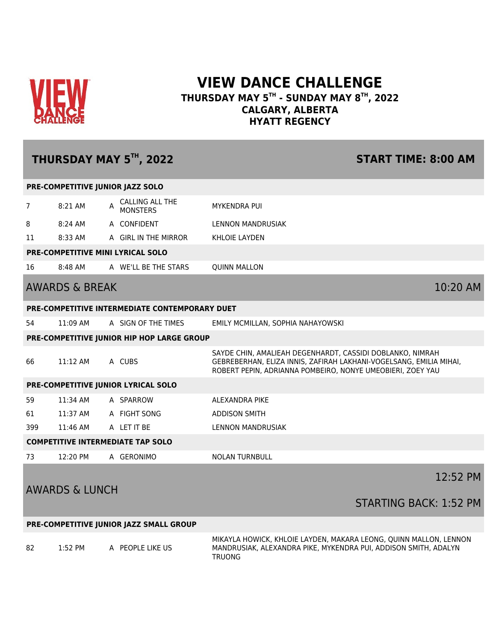

## **VIEW DANCE CHALLENGE THURSDAY MAY 5TH - SUNDAY MAY 8TH, 2022 CALGARY, ALBERTA HYATT REGENCY**

# **THURSDAY MAY 5TH, 2022 START TIME: 8:00 AM PRE-COMPETITIVE JUNIOR JAZZ SOLO** <sup>7</sup> 8:21 AM A CALLING ALL THE MONSTERS MYKENDRA PUI 8 8:24 AM A CONFIDENT LENNON MANDRUSIAK 11 8:33 AM A GIRL IN THE MIRROR KHLOIE LAYDEN **PRE-COMPETITIVE MINI LYRICAL SOLO** 16 8:48 AM A WE'LL BE THE STARS QUINN MALLON AWARDS & BREAK 10:20 AM **PRE-COMPETITIVE INTERMEDIATE CONTEMPORARY DUET** 54 11:09 AM A SIGN OF THE TIMES EMILY MCMILLAN, SOPHIA NAHAYOWSKI **PRE-COMPETITIVE JUNIOR HIP HOP LARGE GROUP** 66 11:12 AM A CUBS SAYDE CHIN, AMALIEAH DEGENHARDT, CASSIDI DOBLANKO, NIMRAH GEBREBERHAN, ELIZA INNIS, ZAFIRAH LAKHANI-VOGELSANG, EMILIA MIHAI, ROBERT PEPIN, ADRIANNA POMBEIRO, NONYE UMEOBIERI, ZOEY YAU **PRE-COMPETITIVE JUNIOR LYRICAL SOLO** 59 11:34 AM A SPARROW ALEXANDRA PIKE 61 11:37 AM A FIGHT SONG ADDISON SMITH 399 11:46 AM A LET IT BE LENNON MANDRUSIAK **COMPETITIVE INTERMEDIATE TAP SOLO** 73 12:20 PM A GERONIMO NOLAN TURNBULL AWARDS & LUNCH 12:52 PM STARTING BACK: 1:52 PM

#### **PRE-COMPETITIVE JUNIOR JAZZ SMALL GROUP**

82 1:52 PM A PEOPLE LIKE US

MIKAYLA HOWICK, KHLOIE LAYDEN, MAKARA LEONG, QUINN MALLON, LENNON MANDRUSIAK, ALEXANDRA PIKE, MYKENDRA PUI, ADDISON SMITH, ADALYN TRUONG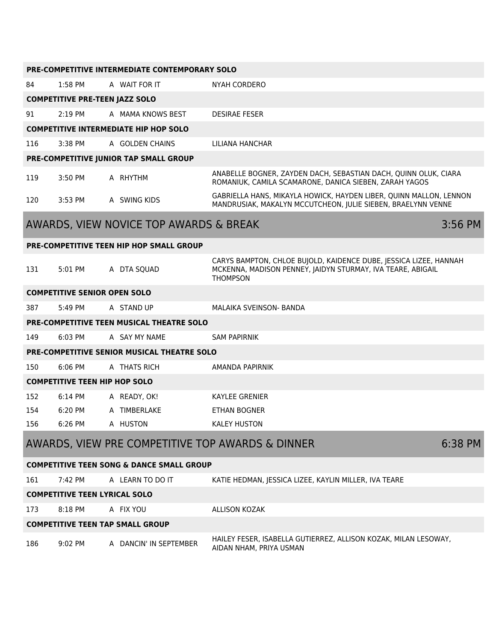| <b>PRE-COMPETITIVE INTERMEDIATE CONTEMPORARY SOLO</b> |                                                             |                                                  |                                                                                                                                                     |           |  |
|-------------------------------------------------------|-------------------------------------------------------------|--------------------------------------------------|-----------------------------------------------------------------------------------------------------------------------------------------------------|-----------|--|
| 84                                                    | $1:58$ PM                                                   | A WAIT FOR IT                                    | <b>NYAH CORDERO</b>                                                                                                                                 |           |  |
|                                                       | <b>COMPETITIVE PRE-TEEN JAZZ SOLO</b>                       |                                                  |                                                                                                                                                     |           |  |
| 91                                                    | 2:19 PM                                                     | A MAMA KNOWS BEST                                | <b>DESIRAE FESER</b>                                                                                                                                |           |  |
|                                                       |                                                             | <b>COMPETITIVE INTERMEDIATE HIP HOP SOLO</b>     |                                                                                                                                                     |           |  |
| 116                                                   | 3:38 PM                                                     | A GOLDEN CHAINS                                  | LILIANA HANCHAR                                                                                                                                     |           |  |
|                                                       |                                                             | PRE-COMPETITIVE JUNIOR TAP SMALL GROUP           |                                                                                                                                                     |           |  |
| 119                                                   | 3:50 PM                                                     | A RHYTHM                                         | ANABELLE BOGNER, ZAYDEN DACH, SEBASTIAN DACH, QUINN OLUK, CIARA<br>ROMANIUK, CAMILA SCAMARONE, DANICA SIEBEN, ZARAH YAGOS                           |           |  |
| 120                                                   | 3:53 PM                                                     | A SWING KIDS                                     | GABRIELLA HANS, MIKAYLA HOWICK, HAYDEN LIBER, QUINN MALLON, LENNON<br>MANDRUSIAK, MAKALYN MCCUTCHEON, JULIE SIEBEN, BRAELYNN VENNE                  |           |  |
|                                                       |                                                             | AWARDS, VIEW NOVICE TOP AWARDS & BREAK           |                                                                                                                                                     | $3:56$ PM |  |
|                                                       |                                                             | <b>PRE-COMPETITIVE TEEN HIP HOP SMALL GROUP</b>  |                                                                                                                                                     |           |  |
| 131                                                   | 5:01 PM                                                     | A DTA SQUAD                                      | CARYS BAMPTON, CHLOE BUJOLD, KAIDENCE DUBE, JESSICA LIZEE, HANNAH<br>MCKENNA, MADISON PENNEY, JAIDYN STURMAY, IVA TEARE, ABIGAIL<br><b>THOMPSON</b> |           |  |
|                                                       | <b>COMPETITIVE SENIOR OPEN SOLO</b>                         |                                                  |                                                                                                                                                     |           |  |
| 387                                                   | 5:49 PM                                                     | A STAND UP                                       | MALAIKA SVEINSON- BANDA                                                                                                                             |           |  |
|                                                       |                                                             | <b>PRE-COMPETITIVE TEEN MUSICAL THEATRE SOLO</b> |                                                                                                                                                     |           |  |
| 149                                                   | 6:03 PM                                                     | A SAY MY NAME                                    | <b>SAM PAPIRNIK</b>                                                                                                                                 |           |  |
|                                                       |                                                             | PRE-COMPETITIVE SENIOR MUSICAL THEATRE SOLO      |                                                                                                                                                     |           |  |
| 150                                                   | 6:06 PM                                                     | A THATS RICH                                     | AMANDA PAPIRNIK                                                                                                                                     |           |  |
| <b>COMPETITIVE TEEN HIP HOP SOLO</b>                  |                                                             |                                                  |                                                                                                                                                     |           |  |
| 152                                                   | 6:14 PM                                                     | A READY, OK!                                     | <b>KAYLEE GRENIER</b>                                                                                                                               |           |  |
| 154                                                   | 6:20 PM                                                     | A TIMBERLAKE                                     | ETHAN BOGNER                                                                                                                                        |           |  |
| 156                                                   | 6:26 PM                                                     | A HUSTON                                         | <b>KALEY HUSTON</b>                                                                                                                                 |           |  |
|                                                       | AWARDS, VIEW PRE COMPETITIVE TOP AWARDS & DINNER<br>6:38 PM |                                                  |                                                                                                                                                     |           |  |
| <b>COMPETITIVE TEEN SONG &amp; DANCE SMALL GROUP</b>  |                                                             |                                                  |                                                                                                                                                     |           |  |
| 161                                                   | 7:42 PM                                                     | A LEARN TO DO IT                                 | KATIE HEDMAN, JESSICA LIZEE, KAYLIN MILLER, IVA TEARE                                                                                               |           |  |
| <b>COMPETITIVE TEEN LYRICAL SOLO</b>                  |                                                             |                                                  |                                                                                                                                                     |           |  |
| 173                                                   | 8:18 PM                                                     | A FIX YOU                                        | <b>ALLISON KOZAK</b>                                                                                                                                |           |  |
| <b>COMPETITIVE TEEN TAP SMALL GROUP</b>               |                                                             |                                                  |                                                                                                                                                     |           |  |
| 186                                                   | 9:02 PM                                                     | A DANCIN' IN SEPTEMBER                           | HAILEY FESER, ISABELLA GUTIERREZ, ALLISON KOZAK, MILAN LESOWAY,<br>AIDAN NHAM, PRIYA USMAN                                                          |           |  |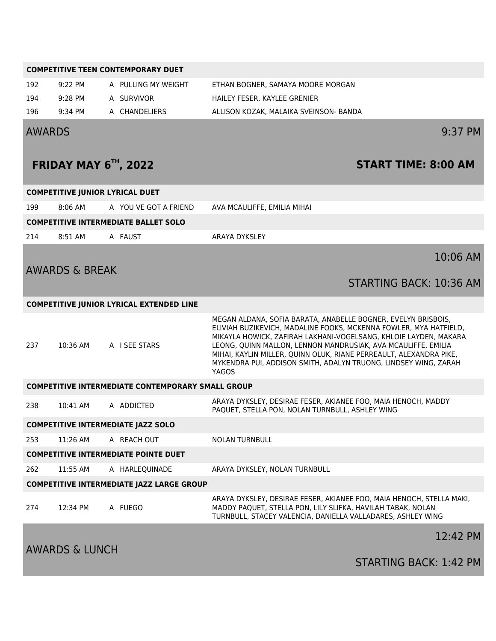| <b>COMPETITIVE TEEN CONTEMPORARY DUET</b>        |                                       |                                                          |                                                                                                                                                                                                                                                                                                                                                                                                                           |  |  |
|--------------------------------------------------|---------------------------------------|----------------------------------------------------------|---------------------------------------------------------------------------------------------------------------------------------------------------------------------------------------------------------------------------------------------------------------------------------------------------------------------------------------------------------------------------------------------------------------------------|--|--|
| 192                                              | 9:22 PM                               | A PULLING MY WEIGHT                                      | ETHAN BOGNER, SAMAYA MOORE MORGAN                                                                                                                                                                                                                                                                                                                                                                                         |  |  |
| 194                                              | 9:28 PM                               | A SURVIVOR                                               | HAILEY FESER, KAYLEE GRENIER                                                                                                                                                                                                                                                                                                                                                                                              |  |  |
| 196                                              | 9:34 PM                               | A CHANDELIERS                                            | ALLISON KOZAK, MALAIKA SVEINSON- BANDA                                                                                                                                                                                                                                                                                                                                                                                    |  |  |
| <b>AWARDS</b>                                    |                                       |                                                          | 9:37 PM                                                                                                                                                                                                                                                                                                                                                                                                                   |  |  |
|                                                  |                                       | FRIDAY MAY $6Th$ , 2022                                  | <b>START TIME: 8:00 AM</b>                                                                                                                                                                                                                                                                                                                                                                                                |  |  |
|                                                  |                                       | <b>COMPETITIVE JUNIOR LYRICAL DUET</b>                   |                                                                                                                                                                                                                                                                                                                                                                                                                           |  |  |
| 199                                              | $8:06$ AM                             | A YOU VE GOT A FRIEND                                    | AVA MCAULIFFE, EMILIA MIHAI                                                                                                                                                                                                                                                                                                                                                                                               |  |  |
|                                                  |                                       | <b>COMPETITIVE INTERMEDIATE BALLET SOLO</b>              |                                                                                                                                                                                                                                                                                                                                                                                                                           |  |  |
| 214                                              | 8:51 AM                               | A FAUST                                                  | <b>ARAYA DYKSLEY</b>                                                                                                                                                                                                                                                                                                                                                                                                      |  |  |
|                                                  | <b>AWARDS &amp; BREAK</b>             |                                                          | 10:06 AM                                                                                                                                                                                                                                                                                                                                                                                                                  |  |  |
|                                                  |                                       |                                                          | <b>STARTING BACK: 10:36 AM</b>                                                                                                                                                                                                                                                                                                                                                                                            |  |  |
|                                                  |                                       | <b>COMPETITIVE JUNIOR LYRICAL EXTENDED LINE</b>          |                                                                                                                                                                                                                                                                                                                                                                                                                           |  |  |
| 237                                              | 10:36 AM                              | A I SEE STARS                                            | MEGAN ALDANA, SOFIA BARATA, ANABELLE BOGNER, EVELYN BRISBOIS,<br>ELIVIAH BUZIKEVICH, MADALINE FOOKS, MCKENNA FOWLER, MYA HATFIELD,<br>MIKAYLA HOWICK, ZAFIRAH LAKHANI-VOGELSANG, KHLOIE LAYDEN, MAKARA<br>LEONG, QUINN MALLON, LENNON MANDRUSIAK, AVA MCAULIFFE, EMILIA<br>MIHAI, KAYLIN MILLER, QUINN OLUK, RIANE PERREAULT, ALEXANDRA PIKE,<br>MYKENDRA PUI, ADDISON SMITH, ADALYN TRUONG, LINDSEY WING, ZARAH<br>YAGOS |  |  |
|                                                  |                                       | <b>COMPETITIVE INTERMEDIATE CONTEMPORARY SMALL GROUP</b> |                                                                                                                                                                                                                                                                                                                                                                                                                           |  |  |
| 238                                              | 10:41 AM                              | A ADDICTED                                               | ARAYA DYKSLEY, DESIRAE FESER, AKIANEE FOO, MAIA HENOCH, MADDY<br>PAQUET, STELLA PON, NOLAN TURNBULL, ASHLEY WING                                                                                                                                                                                                                                                                                                          |  |  |
| <b>COMPETITIVE INTERMEDIATE JAZZ SOLO</b>        |                                       |                                                          |                                                                                                                                                                                                                                                                                                                                                                                                                           |  |  |
| 253                                              | 11:26 AM                              | A REACH OUT                                              | <b>NOLAN TURNBULL</b>                                                                                                                                                                                                                                                                                                                                                                                                     |  |  |
| <b>COMPETITIVE INTERMEDIATE POINTE DUET</b>      |                                       |                                                          |                                                                                                                                                                                                                                                                                                                                                                                                                           |  |  |
| 262                                              | 11:55 AM                              | A HARLEQUINADE                                           | ARAYA DYKSLEY, NOLAN TURNBULL                                                                                                                                                                                                                                                                                                                                                                                             |  |  |
| <b>COMPETITIVE INTERMEDIATE JAZZ LARGE GROUP</b> |                                       |                                                          |                                                                                                                                                                                                                                                                                                                                                                                                                           |  |  |
| 274                                              | 12:34 PM                              | A FUEGO                                                  | ARAYA DYKSLEY, DESIRAE FESER, AKIANEE FOO, MAIA HENOCH, STELLA MAKI,<br>MADDY PAQUET, STELLA PON, LILY SLIFKA, HAVILAH TABAK, NOLAN<br>TURNBULL, STACEY VALENCIA, DANIELLA VALLADARES, ASHLEY WING                                                                                                                                                                                                                        |  |  |
|                                                  | 12:42 PM<br><b>AWARDS &amp; LUNCH</b> |                                                          |                                                                                                                                                                                                                                                                                                                                                                                                                           |  |  |
|                                                  |                                       |                                                          | STARTING BACK: 1:42 PM                                                                                                                                                                                                                                                                                                                                                                                                    |  |  |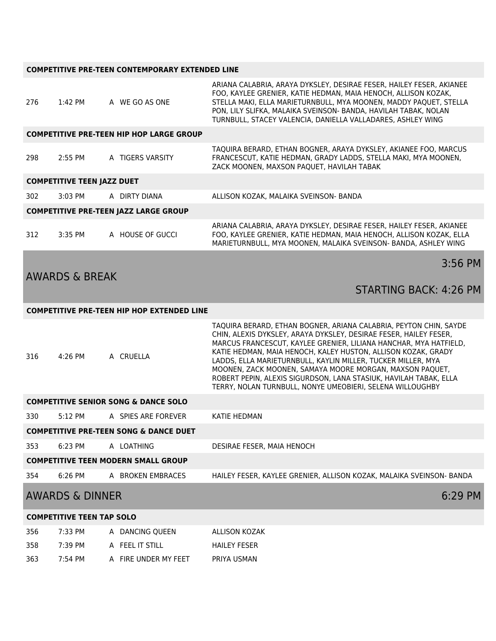#### **COMPETITIVE PRE-TEEN CONTEMPORARY EXTENDED LINE**

| 276                                               | 1:42 PM                           | A WE GO AS ONE                                    | ARIANA CALABRIA, ARAYA DYKSLEY, DESIRAE FESER, HAILEY FESER, AKIANEE<br>FOO, KAYLEE GRENIER, KATIE HEDMAN, MAIA HENOCH, ALLISON KOZAK,<br>STELLA MAKI, ELLA MARIETURNBULL, MYA MOONEN, MADDY PAQUET, STELLA<br>PON, LILY SLIFKA, MALAIKA SVEINSON- BANDA, HAVILAH TABAK, NOLAN<br>TURNBULL, STACEY VALENCIA, DANIELLA VALLADARES, ASHLEY WING                                                                                                                                                                                              |  |
|---------------------------------------------------|-----------------------------------|---------------------------------------------------|--------------------------------------------------------------------------------------------------------------------------------------------------------------------------------------------------------------------------------------------------------------------------------------------------------------------------------------------------------------------------------------------------------------------------------------------------------------------------------------------------------------------------------------------|--|
|                                                   |                                   | <b>COMPETITIVE PRE-TEEN HIP HOP LARGE GROUP</b>   |                                                                                                                                                                                                                                                                                                                                                                                                                                                                                                                                            |  |
| 298                                               | 2:55 PM                           | A TIGERS VARSITY                                  | TAQUIRA BERARD, ETHAN BOGNER, ARAYA DYKSLEY, AKIANEE FOO, MARCUS<br>FRANCESCUT, KATIE HEDMAN, GRADY LADDS, STELLA MAKI, MYA MOONEN,<br>ZACK MOONEN, MAXSON PAQUET, HAVILAH TABAK                                                                                                                                                                                                                                                                                                                                                           |  |
|                                                   | <b>COMPETITIVE TEEN JAZZ DUET</b> |                                                   |                                                                                                                                                                                                                                                                                                                                                                                                                                                                                                                                            |  |
| 302                                               | 3:03 PM                           | A DIRTY DIANA                                     | ALLISON KOZAK, MALAIKA SVEINSON- BANDA                                                                                                                                                                                                                                                                                                                                                                                                                                                                                                     |  |
|                                                   |                                   | <b>COMPETITIVE PRE-TEEN JAZZ LARGE GROUP</b>      |                                                                                                                                                                                                                                                                                                                                                                                                                                                                                                                                            |  |
| 312                                               | 3:35 PM                           | A HOUSE OF GUCCI                                  | ARIANA CALABRIA, ARAYA DYKSLEY, DESIRAE FESER, HAILEY FESER, AKIANEE<br>FOO, KAYLEE GRENIER, KATIE HEDMAN, MAIA HENOCH, ALLISON KOZAK, ELLA<br>MARIETURNBULL, MYA MOONEN, MALAIKA SVEINSON- BANDA, ASHLEY WING                                                                                                                                                                                                                                                                                                                             |  |
|                                                   |                                   |                                                   | 3:56 PM                                                                                                                                                                                                                                                                                                                                                                                                                                                                                                                                    |  |
|                                                   | <b>AWARDS &amp; BREAK</b>         |                                                   | <b>STARTING BACK: 4:26 PM</b>                                                                                                                                                                                                                                                                                                                                                                                                                                                                                                              |  |
|                                                   |                                   | <b>COMPETITIVE PRE-TEEN HIP HOP EXTENDED LINE</b> |                                                                                                                                                                                                                                                                                                                                                                                                                                                                                                                                            |  |
| 316                                               | 4:26 PM                           | A CRUELLA                                         | TAQUIRA BERARD, ETHAN BOGNER, ARIANA CALABRIA, PEYTON CHIN, SAYDE<br>CHIN, ALEXIS DYKSLEY, ARAYA DYKSLEY, DESIRAE FESER, HAILEY FESER,<br>MARCUS FRANCESCUT, KAYLEE GRENIER, LILIANA HANCHAR, MYA HATFIELD,<br>KATIE HEDMAN, MAIA HENOCH, KALEY HUSTON, ALLISON KOZAK, GRADY<br>LADDS, ELLA MARIETURNBULL, KAYLIN MILLER, TUCKER MILLER, MYA<br>MOONEN, ZACK MOONEN, SAMAYA MOORE MORGAN, MAXSON PAQUET,<br>ROBERT PEPIN, ALEXIS SIGURDSON, LANA STASIUK, HAVILAH TABAK, ELLA<br>TERRY, NOLAN TURNBULL, NONYE UMEOBIERI, SELENA WILLOUGHBY |  |
| <b>COMPETITIVE SENIOR SONG &amp; DANCE SOLO</b>   |                                   |                                                   |                                                                                                                                                                                                                                                                                                                                                                                                                                                                                                                                            |  |
| 330                                               | 5:12 PM                           | A SPIES ARE FOREVER                               | <b>KATIE HEDMAN</b>                                                                                                                                                                                                                                                                                                                                                                                                                                                                                                                        |  |
| <b>COMPETITIVE PRE-TEEN SONG &amp; DANCE DUET</b> |                                   |                                                   |                                                                                                                                                                                                                                                                                                                                                                                                                                                                                                                                            |  |
| 353                                               | 6:23 PM                           | A LOATHING                                        | DESIRAE FESER, MAIA HENOCH                                                                                                                                                                                                                                                                                                                                                                                                                                                                                                                 |  |
| <b>COMPETITIVE TEEN MODERN SMALL GROUP</b>        |                                   |                                                   |                                                                                                                                                                                                                                                                                                                                                                                                                                                                                                                                            |  |
| 354                                               | 6:26 PM                           | A BROKEN EMBRACES                                 | HAILEY FESER, KAYLEE GRENIER, ALLISON KOZAK, MALAIKA SVEINSON- BANDA                                                                                                                                                                                                                                                                                                                                                                                                                                                                       |  |
| <b>AWARDS &amp; DINNER</b><br>6:29 PM             |                                   |                                                   |                                                                                                                                                                                                                                                                                                                                                                                                                                                                                                                                            |  |
| <b>COMPETITIVE TEEN TAP SOLO</b>                  |                                   |                                                   |                                                                                                                                                                                                                                                                                                                                                                                                                                                                                                                                            |  |
| 356                                               | 7:33 PM                           | A DANCING QUEEN                                   | <b>ALLISON KOZAK</b>                                                                                                                                                                                                                                                                                                                                                                                                                                                                                                                       |  |
| 358                                               | 7:39 PM                           | A FEEL IT STILL                                   | <b>HAILEY FESER</b>                                                                                                                                                                                                                                                                                                                                                                                                                                                                                                                        |  |
| 363                                               | 7:54 PM                           | A FIRE UNDER MY FEET                              | PRIYA USMAN                                                                                                                                                                                                                                                                                                                                                                                                                                                                                                                                |  |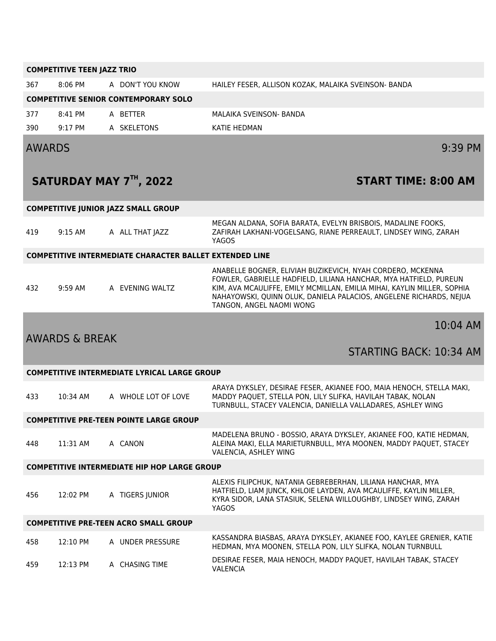|                                                     | <b>COMPETITIVE TEEN JAZZ TRIO</b> |                                                                |                                                                                                                                                                                                                                                                                                              |  |  |
|-----------------------------------------------------|-----------------------------------|----------------------------------------------------------------|--------------------------------------------------------------------------------------------------------------------------------------------------------------------------------------------------------------------------------------------------------------------------------------------------------------|--|--|
| 367                                                 | $8:06$ PM                         | A DON'T YOU KNOW                                               | HAILEY FESER, ALLISON KOZAK, MALAIKA SVEINSON- BANDA                                                                                                                                                                                                                                                         |  |  |
|                                                     |                                   | <b>COMPETITIVE SENIOR CONTEMPORARY SOLO</b>                    |                                                                                                                                                                                                                                                                                                              |  |  |
| 377                                                 | $8:41$ PM                         | A BETTER                                                       | MALAIKA SVEINSON- BANDA                                                                                                                                                                                                                                                                                      |  |  |
| 390                                                 | $9:17$ PM                         | A SKELETONS                                                    | KATIE HEDMAN                                                                                                                                                                                                                                                                                                 |  |  |
| <b>AWARDS</b>                                       |                                   |                                                                | $9:39$ PM                                                                                                                                                                                                                                                                                                    |  |  |
|                                                     |                                   | SATURDAY MAY 7TH, 2022                                         | <b>START TIME: 8:00 AM</b>                                                                                                                                                                                                                                                                                   |  |  |
|                                                     |                                   | <b>COMPETITIVE JUNIOR JAZZ SMALL GROUP</b>                     |                                                                                                                                                                                                                                                                                                              |  |  |
| 419                                                 | $9:15$ AM                         | A ALL THAT JAZZ                                                | MEGAN ALDANA, SOFIA BARATA, EVELYN BRISBOIS, MADALINE FOOKS,<br>ZAFIRAH LAKHANI-VOGELSANG, RIANE PERREAULT, LINDSEY WING, ZARAH<br><b>YAGOS</b>                                                                                                                                                              |  |  |
|                                                     |                                   | <b>COMPETITIVE INTERMEDIATE CHARACTER BALLET EXTENDED LINE</b> |                                                                                                                                                                                                                                                                                                              |  |  |
| 432                                                 | $9:59$ AM                         | A EVENING WALTZ                                                | ANABELLE BOGNER, ELIVIAH BUZIKEVICH, NYAH CORDERO, MCKENNA<br>FOWLER, GABRIELLE HADFIELD, LILIANA HANCHAR, MYA HATFIELD, PUREUN<br>KIM, AVA MCAULIFFE, EMILY MCMILLAN, EMILIA MIHAI, KAYLIN MILLER, SOPHIA<br>NAHAYOWSKI, QUINN OLUK, DANIELA PALACIOS, ANGELENE RICHARDS, NEJUA<br>TANGON, ANGEL NAOMI WONG |  |  |
|                                                     | <b>AWARDS &amp; BREAK</b>         |                                                                | 10:04 AM                                                                                                                                                                                                                                                                                                     |  |  |
|                                                     |                                   |                                                                | STARTING BACK: 10:34 AM                                                                                                                                                                                                                                                                                      |  |  |
|                                                     |                                   | <b>COMPETITIVE INTERMEDIATE LYRICAL LARGE GROUP</b>            |                                                                                                                                                                                                                                                                                                              |  |  |
| 433                                                 | 10:34 AM                          | A WHOLE LOT OF LOVE                                            | ARAYA DYKSLEY, DESIRAE FESER, AKIANEE FOO, MAIA HENOCH, STELLA MAKI,<br>MADDY PAQUET, STELLA PON, LILY SLIFKA, HAVILAH TABAK, NOLAN<br>TURNBULL, STACEY VALENCIA, DANIELLA VALLADARES, ASHLEY WING                                                                                                           |  |  |
|                                                     |                                   | <b>COMPETITIVE PRE-TEEN POINTE LARGE GROUP</b>                 |                                                                                                                                                                                                                                                                                                              |  |  |
| 448                                                 | 11:31 AM                          | A CANON                                                        | MADELENA BRUNO - BOSSIO, ARAYA DYKSLEY, AKIANEE FOO, KATIE HEDMAN,<br>ALEINA MAKI, ELLA MARIETURNBULL, MYA MOONEN, MADDY PAQUET, STACEY<br>VALENCIA, ASHLEY WING                                                                                                                                             |  |  |
| <b>COMPETITIVE INTERMEDIATE HIP HOP LARGE GROUP</b> |                                   |                                                                |                                                                                                                                                                                                                                                                                                              |  |  |
| 456                                                 | 12:02 PM                          | A TIGERS JUNIOR                                                | ALEXIS FILIPCHUK, NATANIA GEBREBERHAN, LILIANA HANCHAR, MYA<br>HATFIELD, LIAM JUNCK, KHLOIE LAYDEN, AVA MCAULIFFE, KAYLIN MILLER,<br>KYRA SIDOR, LANA STASIUK, SELENA WILLOUGHBY, LINDSEY WING, ZARAH<br><b>YAGOS</b>                                                                                        |  |  |
| <b>COMPETITIVE PRE-TEEN ACRO SMALL GROUP</b>        |                                   |                                                                |                                                                                                                                                                                                                                                                                                              |  |  |
| 458                                                 | 12:10 PM                          | A UNDER PRESSURE                                               | KASSANDRA BIASBAS, ARAYA DYKSLEY, AKIANEE FOO, KAYLEE GRENIER, KATIE<br>HEDMAN, MYA MOONEN, STELLA PON, LILY SLIFKA, NOLAN TURNBULL                                                                                                                                                                          |  |  |
| 459                                                 | 12:13 PM                          | A CHASING TIME                                                 | DESIRAE FESER, MAIA HENOCH, MADDY PAQUET, HAVILAH TABAK, STACEY<br><b>VALENCIA</b>                                                                                                                                                                                                                           |  |  |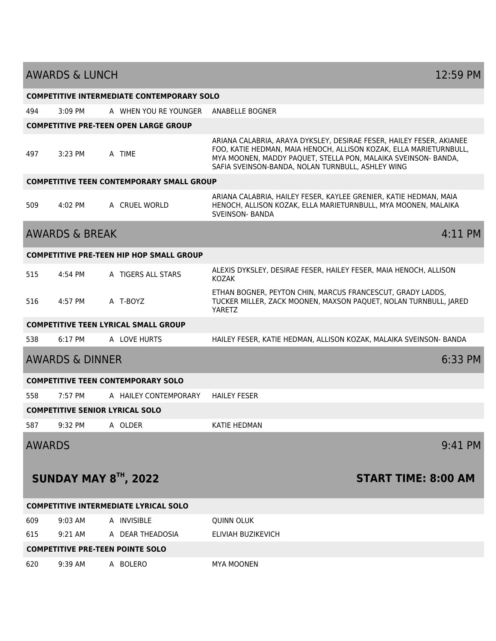| <b>COMPETITIVE INTERMEDIATE CONTEMPORARY SOLO</b> |                           |                                                  |                                                                                                                                                                                                                                                                   |           |
|---------------------------------------------------|---------------------------|--------------------------------------------------|-------------------------------------------------------------------------------------------------------------------------------------------------------------------------------------------------------------------------------------------------------------------|-----------|
| 494                                               | $3:09$ PM                 | A WHEN YOU RE YOUNGER                            | ANABELLE BOGNER                                                                                                                                                                                                                                                   |           |
|                                                   |                           | <b>COMPETITIVE PRE-TEEN OPEN LARGE GROUP</b>     |                                                                                                                                                                                                                                                                   |           |
| 497                                               | 3:23 PM                   | A TIME                                           | ARIANA CALABRIA, ARAYA DYKSLEY, DESIRAE FESER, HAILEY FESER, AKIANEE<br>FOO, KATIE HEDMAN, MAIA HENOCH, ALLISON KOZAK, ELLA MARIETURNBULL,<br>MYA MOONEN, MADDY PAQUET, STELLA PON, MALAIKA SVEINSON- BANDA,<br>SAFIA SVEINSON-BANDA, NOLAN TURNBULL, ASHLEY WING |           |
|                                                   |                           | <b>COMPETITIVE TEEN CONTEMPORARY SMALL GROUP</b> |                                                                                                                                                                                                                                                                   |           |
| 509                                               | 4:02 PM                   | A CRUEL WORLD                                    | ARIANA CALABRIA, HAILEY FESER, KAYLEE GRENIER, KATIE HEDMAN, MAIA<br>HENOCH, ALLISON KOZAK, ELLA MARIETURNBULL, MYA MOONEN, MALAIKA<br><b>SVEINSON- BANDA</b>                                                                                                     |           |
|                                                   | <b>AWARDS &amp; BREAK</b> |                                                  |                                                                                                                                                                                                                                                                   | 4:11 PM   |
|                                                   |                           | <b>COMPETITIVE PRE-TEEN HIP HOP SMALL GROUP</b>  |                                                                                                                                                                                                                                                                   |           |
| 515                                               | 4:54 PM                   | A TIGERS ALL STARS                               | ALEXIS DYKSLEY, DESIRAE FESER, HAILEY FESER, MAIA HENOCH, ALLISON<br><b>KOZAK</b>                                                                                                                                                                                 |           |
| 516                                               | 4:57 PM                   | A T-BOYZ                                         | ETHAN BOGNER, PEYTON CHIN, MARCUS FRANCESCUT, GRADY LADDS,<br>TUCKER MILLER, ZACK MOONEN, MAXSON PAQUET, NOLAN TURNBULL, JARED<br>YARETZ                                                                                                                          |           |
|                                                   |                           | <b>COMPETITIVE TEEN LYRICAL SMALL GROUP</b>      |                                                                                                                                                                                                                                                                   |           |
| 538                                               | 6:17 PM                   | A LOVE HURTS                                     | HAILEY FESER, KATIE HEDMAN, ALLISON KOZAK, MALAIKA SVEINSON- BANDA                                                                                                                                                                                                |           |
| <b>AWARDS &amp; DINNER</b>                        |                           |                                                  |                                                                                                                                                                                                                                                                   | 6:33 PM   |
|                                                   |                           | <b>COMPETITIVE TEEN CONTEMPORARY SOLO</b>        |                                                                                                                                                                                                                                                                   |           |
| 558                                               | 7:57 PM                   | A HAILEY CONTEMPORARY                            | <b>HAILEY FESER</b>                                                                                                                                                                                                                                               |           |
|                                                   |                           | <b>COMPETITIVE SENIOR LYRICAL SOLO</b>           |                                                                                                                                                                                                                                                                   |           |
| 587                                               | 9:32 PM                   | A OLDER                                          | <b>KATIE HEDMAN</b>                                                                                                                                                                                                                                               |           |
| <b>AWARDS</b>                                     |                           |                                                  |                                                                                                                                                                                                                                                                   | $9:41$ PM |
| SUNDAY MAY 8 <sup>TH</sup> , 2022                 |                           |                                                  | <b>START TIME: 8:00 AM</b>                                                                                                                                                                                                                                        |           |
|                                                   |                           | <b>COMPETITIVE INTERMEDIATE LYRICAL SOLO</b>     |                                                                                                                                                                                                                                                                   |           |
| 609                                               | $9:03$ AM                 | A INVISIBLE                                      | <b>QUINN OLUK</b>                                                                                                                                                                                                                                                 |           |
| 615                                               | $9:21$ AM                 | A DEAR THEADOSIA                                 | ELIVIAH BUZIKEVICH                                                                                                                                                                                                                                                |           |
| <b>COMPETITIVE PRE-TEEN POINTE SOLO</b>           |                           |                                                  |                                                                                                                                                                                                                                                                   |           |
| 620                                               | 9:39 AM                   | A BOLERO                                         | <b>MYA MOONEN</b>                                                                                                                                                                                                                                                 |           |